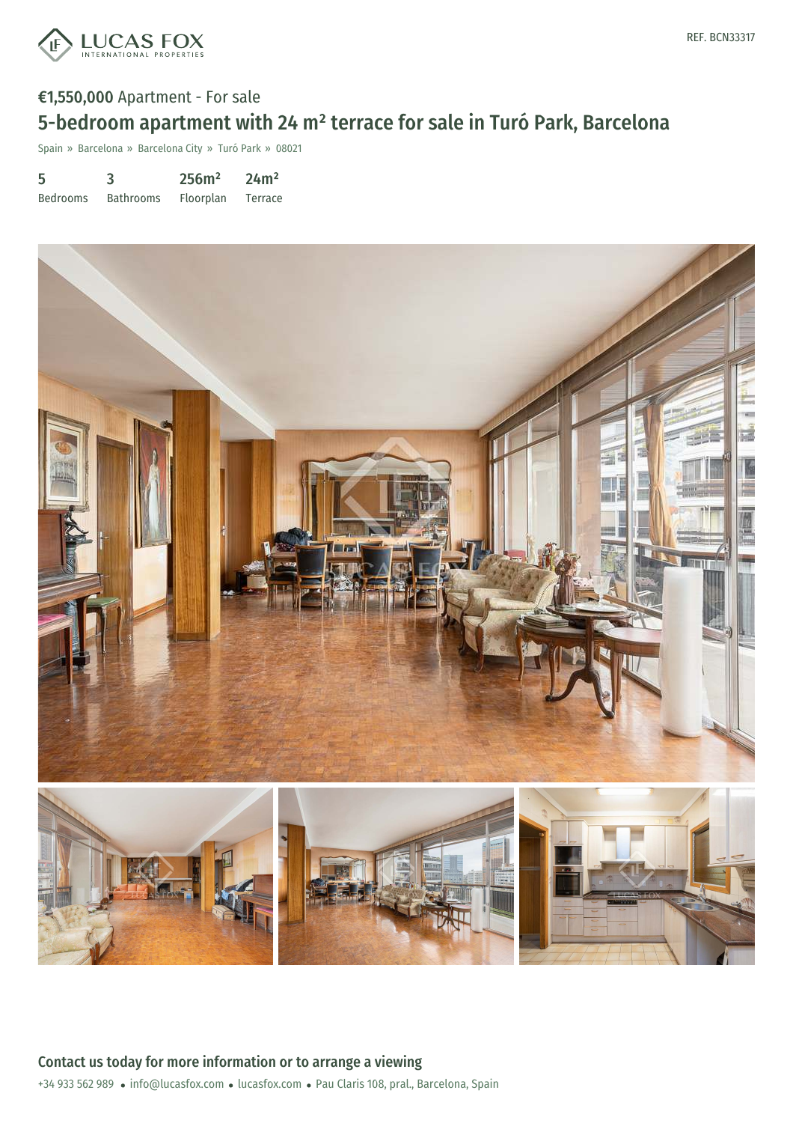

# €1,550,000 Apartment - For sale 5-bedroom apartment with 24 m² terrace for sale in Turó Park, Barcelona

Spain » Barcelona » Barcelona City » Turó Park » 08021

| 5               | 3                | 256m <sup>2</sup> | 24m <sup>2</sup> |
|-----------------|------------------|-------------------|------------------|
| <b>Bedrooms</b> | <b>Bathrooms</b> | <b>Floorplan</b>  | Terrace          |

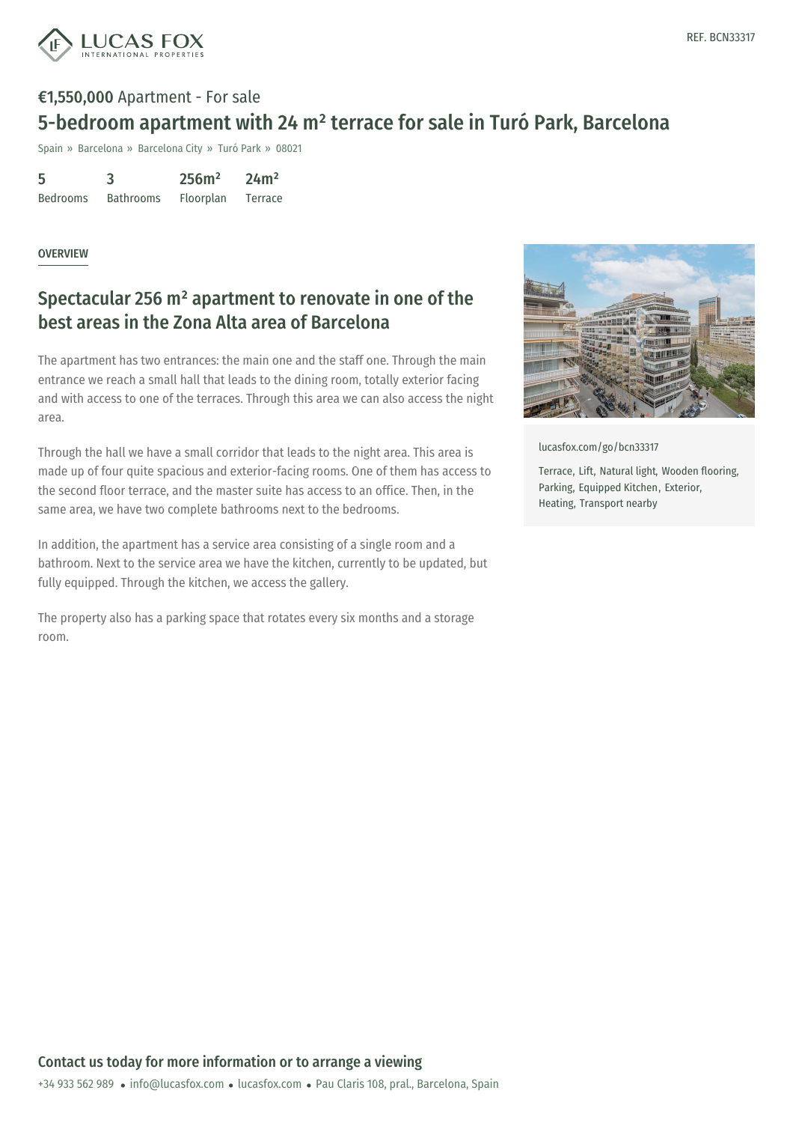

# €1,550,000 Apartment - For sale 5-bedroom apartment with 24 m² terrace for sale in Turó Park, Barcelona

Spain » Barcelona » Barcelona City » Turó Park » 08021

| 5               | З                | 256m <sup>2</sup> | 24m <sup>2</sup> |
|-----------------|------------------|-------------------|------------------|
| <b>Bedrooms</b> | <b>Bathrooms</b> | Floorplan         | Terrace          |

#### **OVERVIEW**

### Spectacular 256 m² apartment to renovate in one of the best areas in the Zona Alta area of Barcelona

The apartment has two entrances: the main one and the staff one. Through the main entrance we reach a small hall that leads to the dining room, totally exterior facing and with access to one of the terraces. Through this area we can also access the night area.

Through the hall we have a small corridor that leads to the night area. This area is made up of four quite spacious and exterior-facing rooms. One of them has access to the second floor terrace, and the master suite has access to an office. Then, in the same area, we have two complete bathrooms next to the bedrooms.

In addition, the apartment has a service area consisting of a single room and a bathroom. Next to the service area we have the kitchen, currently to be updated, but fully equipped. Through the kitchen, we access the gallery.

The property also has a parking space that rotates every six months and a storage room.



[lucasfox.com/go/bcn33317](https://www.lucasfox.com/go/bcn33317)

Terrace, Lift, Natural light, Wooden flooring, Parking, Equipped Kitchen, Exterior, Heating, Transport nearby